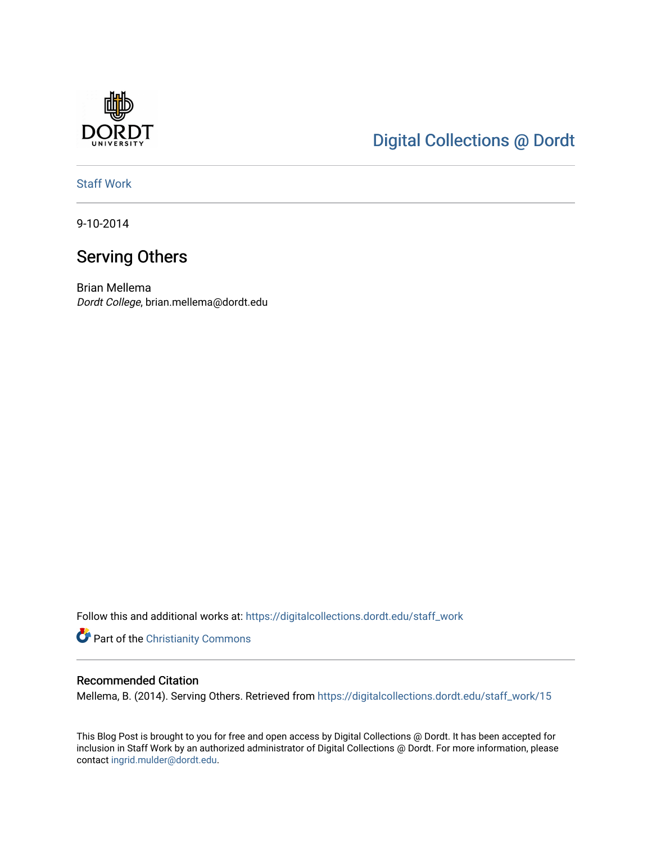

## [Digital Collections @ Dordt](https://digitalcollections.dordt.edu/)

[Staff Work](https://digitalcollections.dordt.edu/staff_work) 

9-10-2014

## Serving Others

Brian Mellema Dordt College, brian.mellema@dordt.edu

Follow this and additional works at: [https://digitalcollections.dordt.edu/staff\\_work](https://digitalcollections.dordt.edu/staff_work?utm_source=digitalcollections.dordt.edu%2Fstaff_work%2F15&utm_medium=PDF&utm_campaign=PDFCoverPages)

Part of the [Christianity Commons](http://network.bepress.com/hgg/discipline/1181?utm_source=digitalcollections.dordt.edu%2Fstaff_work%2F15&utm_medium=PDF&utm_campaign=PDFCoverPages) 

#### Recommended Citation

Mellema, B. (2014). Serving Others. Retrieved from [https://digitalcollections.dordt.edu/staff\\_work/15](https://digitalcollections.dordt.edu/staff_work/15?utm_source=digitalcollections.dordt.edu%2Fstaff_work%2F15&utm_medium=PDF&utm_campaign=PDFCoverPages)

This Blog Post is brought to you for free and open access by Digital Collections @ Dordt. It has been accepted for inclusion in Staff Work by an authorized administrator of Digital Collections @ Dordt. For more information, please contact [ingrid.mulder@dordt.edu.](mailto:ingrid.mulder@dordt.edu)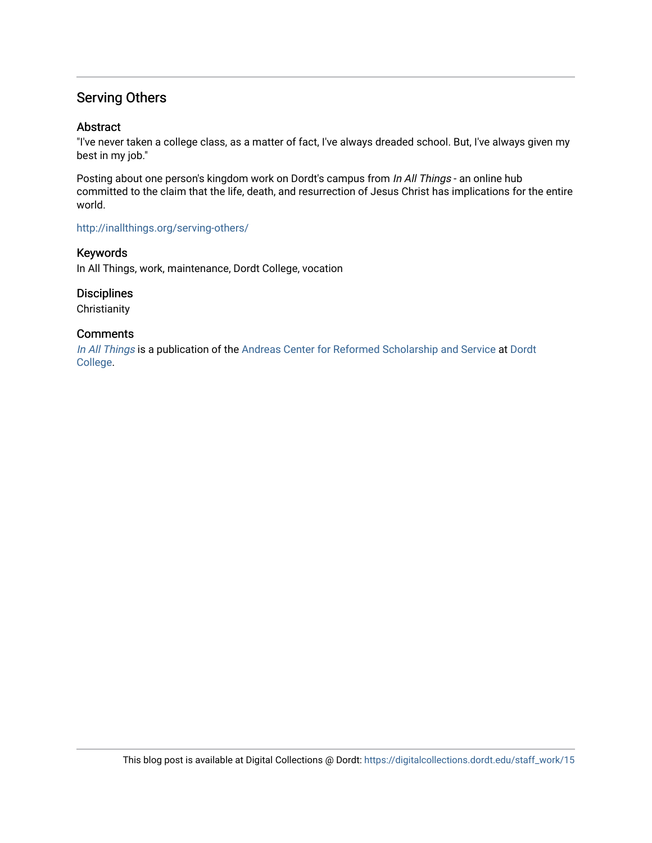### Serving Others

#### Abstract

"I've never taken a college class, as a matter of fact, I've always dreaded school. But, I've always given my best in my job."

Posting about one person's kingdom work on Dordt's campus from In All Things - an online hub committed to the claim that the life, death, and resurrection of Jesus Christ has implications for the entire world.

#### <http://inallthings.org/serving-others/>

#### Keywords

In All Things, work, maintenance, Dordt College, vocation

#### **Disciplines**

**Christianity** 

#### **Comments**

[In All Things](http://inallthings.org/) is a publication of the [Andreas Center for Reformed Scholarship and Service](http://www.dordt.edu/services_support/andreas_center/) at Dordt [College](http://www.dordt.edu/).